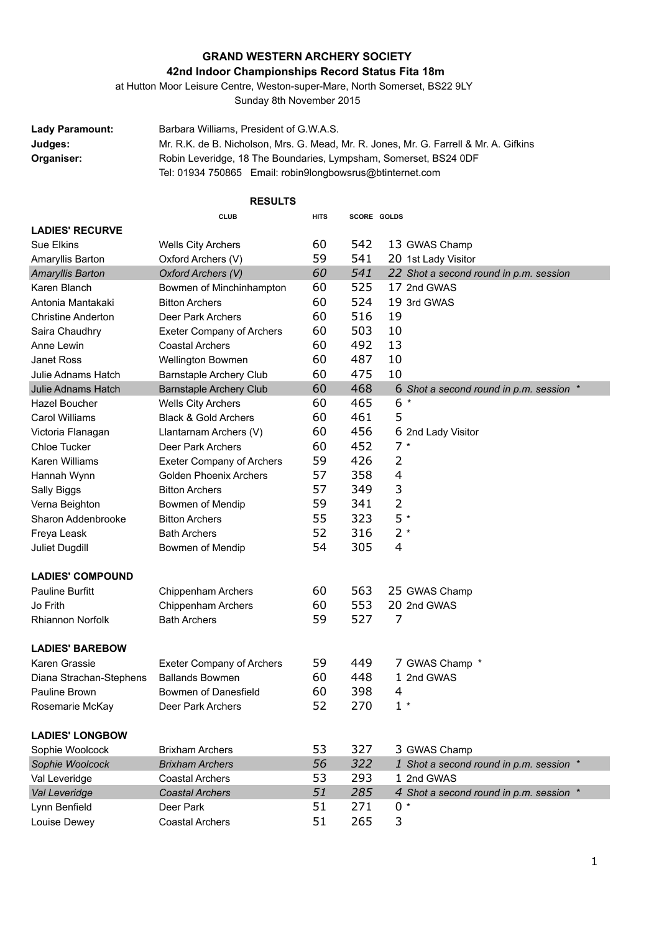## **GRAND WESTERN ARCHERY SOCIETY**

## **42nd Indoor Championships Record Status Fita 18m**

at Hutton Moor Leisure Centre, Weston-super-Mare, North Somerset, BS22 9LY

Sunday 8th November 2015

**Lady Paramount:** Barbara Williams, President of G.W.A.S. **Judges:** Mr. R.K. de B. Nicholson, Mrs. G. Mead, Mr. R. Jones, Mr. G. Farrell & Mr. A. Gifkins **Organiser:** Robin Leveridge, 18 The Boundaries, Lympsham, Somerset, BS24 0DF Tel: 01934 750865 Email: robin9longbowsrus@btinternet.com

| <b>RESULTS</b>            |                                  |             |             |                                         |  |  |
|---------------------------|----------------------------------|-------------|-------------|-----------------------------------------|--|--|
|                           | <b>CLUB</b>                      | <b>HITS</b> | SCORE GOLDS |                                         |  |  |
| <b>LADIES' RECURVE</b>    |                                  |             |             |                                         |  |  |
| Sue Elkins                | <b>Wells City Archers</b>        | 60          | 542         | 13 GWAS Champ                           |  |  |
| Amaryllis Barton          | Oxford Archers (V)               | 59          | 541         | 20 1st Lady Visitor                     |  |  |
| Amaryllis Barton          | Oxford Archers (V)               | 60          | 541         | 22 Shot a second round in p.m. session  |  |  |
| Karen Blanch              | Bowmen of Minchinhampton         | 60          | 525         | 17 2nd GWAS                             |  |  |
| Antonia Mantakaki         | <b>Bitton Archers</b>            | 60          | 524         | 19 3rd GWAS                             |  |  |
| <b>Christine Anderton</b> | Deer Park Archers                | 60          | 516         | 19                                      |  |  |
| Saira Chaudhry            | <b>Exeter Company of Archers</b> | 60          | 503         | 10                                      |  |  |
| Anne Lewin                | <b>Coastal Archers</b>           | 60          | 492         | 13                                      |  |  |
| <b>Janet Ross</b>         | <b>Wellington Bowmen</b>         | 60          | 487         | 10                                      |  |  |
| Julie Adnams Hatch        | <b>Barnstaple Archery Club</b>   | 60          | 475         | 10                                      |  |  |
| Julie Adnams Hatch        | <b>Barnstaple Archery Club</b>   | 60          | 468         | 6 Shot a second round in p.m. session * |  |  |
| <b>Hazel Boucher</b>      | <b>Wells City Archers</b>        | 60          | 465         | 6<br>$\ast$                             |  |  |
| Carol Williams            | <b>Black &amp; Gold Archers</b>  | 60          | 461         | 5                                       |  |  |
| Victoria Flanagan         | Llantarnam Archers (V)           | 60          | 456         | 6 2nd Lady Visitor                      |  |  |
| <b>Chloe Tucker</b>       | Deer Park Archers                | 60          | 452         | $7*$                                    |  |  |
| <b>Karen Williams</b>     | <b>Exeter Company of Archers</b> | 59          | 426         | 2                                       |  |  |
| Hannah Wynn               | <b>Golden Phoenix Archers</b>    | 57          | 358         | 4                                       |  |  |
| Sally Biggs               | <b>Bitton Archers</b>            | 57          | 349         | 3                                       |  |  |
| Verna Beighton            | Bowmen of Mendip                 | 59          | 341         | 2                                       |  |  |
| Sharon Addenbrooke        | <b>Bitton Archers</b>            | 55          | 323         | 5 *                                     |  |  |
| Freya Leask               | <b>Bath Archers</b>              | 52          | 316         | $2*$                                    |  |  |
| Juliet Dugdill            | Bowmen of Mendip                 | 54          | 305         | 4                                       |  |  |
| <b>LADIES' COMPOUND</b>   |                                  |             |             |                                         |  |  |
| <b>Pauline Burfitt</b>    | Chippenham Archers               | 60          | 563         | 25 GWAS Champ                           |  |  |
| Jo Frith                  | Chippenham Archers               | 60          | 553         | 20 2nd GWAS                             |  |  |
| Rhiannon Norfolk          | Bath Archers                     | 59          | 527         | 7                                       |  |  |
| <b>LADIES' BAREBOW</b>    |                                  |             |             |                                         |  |  |
| Karen Grassie             | <b>Exeter Company of Archers</b> | 59          | 449         | 7 GWAS Champ *                          |  |  |
| Diana Strachan-Stephens   | <b>Ballands Bowmen</b>           | 60          | 448         | 1 2nd GWAS                              |  |  |
| Pauline Brown             | Bowmen of Danesfield             | 60          | 398         | 4                                       |  |  |
| Rosemarie McKay           | Deer Park Archers                | 52          | 270         | $1 *$                                   |  |  |
| <b>LADIES' LONGBOW</b>    |                                  |             |             |                                         |  |  |
| Sophie Woolcock           | <b>Brixham Archers</b>           | 53          | 327         | 3 GWAS Champ                            |  |  |
| Sophie Woolcock           | <b>Brixham Archers</b>           | 56          | 322         | 1 Shot a second round in p.m. session * |  |  |
| Val Leveridge             | <b>Coastal Archers</b>           | 53          | 293         | 1 2nd GWAS                              |  |  |
| Val Leveridge             | <b>Coastal Archers</b>           | 51          | 285         | 4 Shot a second round in p.m. session * |  |  |
| Lynn Benfield             | Deer Park                        | 51          | 271         | $0 *$                                   |  |  |
| Louise Dewey              | <b>Coastal Archers</b>           | 51          | 265         | 3                                       |  |  |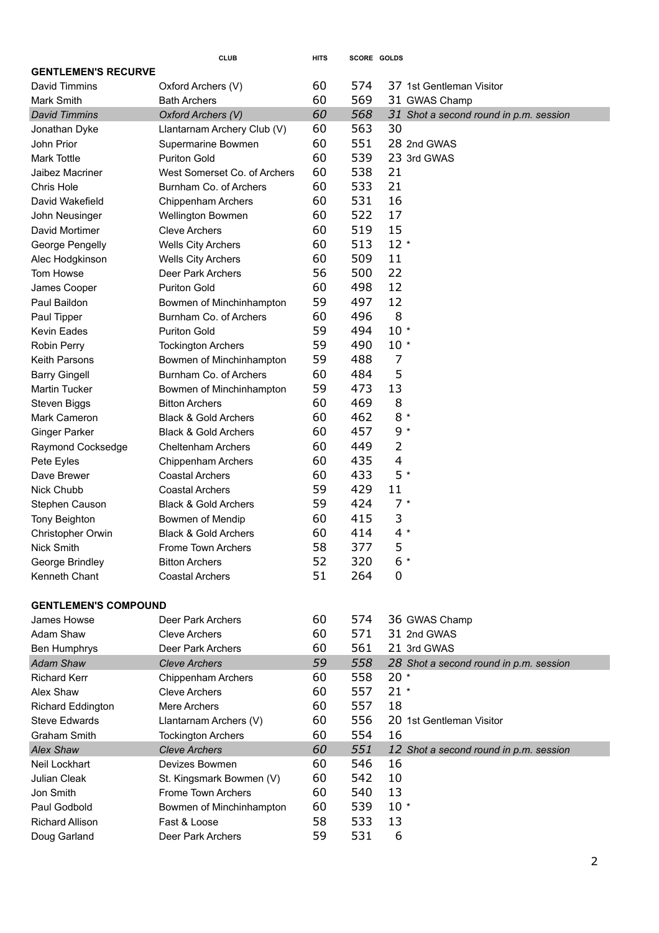|                             | <b>CLUB</b>                     | <b>HITS</b> | SCORE GOLDS |        |                                        |  |  |
|-----------------------------|---------------------------------|-------------|-------------|--------|----------------------------------------|--|--|
| <b>GENTLEMEN'S RECURVE</b>  |                                 |             |             |        |                                        |  |  |
| David Timmins               | Oxford Archers (V)              | 60          | 574         |        | 37 1st Gentleman Visitor               |  |  |
| Mark Smith                  | <b>Bath Archers</b>             | 60          | 569         |        | 31 GWAS Champ                          |  |  |
| <b>David Timmins</b>        | Oxford Archers (V)              | 60          | 568         |        | 31 Shot a second round in p.m. session |  |  |
| Jonathan Dyke               | Llantarnam Archery Club (V)     | 60          | 563         | 30     |                                        |  |  |
| John Prior                  | Supermarine Bowmen              | 60          | 551         |        | 28 2nd GWAS                            |  |  |
| <b>Mark Tottle</b>          | <b>Puriton Gold</b>             | 60          | 539         |        | 23 3rd GWAS                            |  |  |
| Jaibez Macriner             | West Somerset Co. of Archers    | 60          | 538         | 21     |                                        |  |  |
| Chris Hole                  | Burnham Co. of Archers          | 60          | 533         | 21     |                                        |  |  |
| David Wakefield             | Chippenham Archers              | 60          | 531         | 16     |                                        |  |  |
| John Neusinger              | <b>Wellington Bowmen</b>        | 60          | 522         | 17     |                                        |  |  |
| David Mortimer              | <b>Cleve Archers</b>            | 60          | 519         | 15     |                                        |  |  |
| George Pengelly             | <b>Wells City Archers</b>       | 60          | 513         | $12 *$ |                                        |  |  |
| Alec Hodgkinson             | <b>Wells City Archers</b>       | 60          | 509         | 11     |                                        |  |  |
| Tom Howse                   | Deer Park Archers               | 56          | 500         | 22     |                                        |  |  |
| James Cooper                | <b>Puriton Gold</b>             | 60          | 498         | 12     |                                        |  |  |
| Paul Baildon                | Bowmen of Minchinhampton        | 59          | 497         | 12     |                                        |  |  |
| Paul Tipper                 | Burnham Co. of Archers          | 60          | 496         | 8      |                                        |  |  |
| Kevin Eades                 | <b>Puriton Gold</b>             | 59          | 494         | $10 *$ |                                        |  |  |
| Robin Perry                 | <b>Tockington Archers</b>       | 59          | 490         | $10*$  |                                        |  |  |
| <b>Keith Parsons</b>        | Bowmen of Minchinhampton        | 59          | 488         | 7      |                                        |  |  |
| <b>Barry Gingell</b>        | Burnham Co. of Archers          | 60          | 484         | 5      |                                        |  |  |
| <b>Martin Tucker</b>        | Bowmen of Minchinhampton        | 59          | 473         | 13     |                                        |  |  |
| Steven Biggs                | <b>Bitton Archers</b>           | 60          | 469         | 8      |                                        |  |  |
| Mark Cameron                | <b>Black &amp; Gold Archers</b> | 60          | 462         | $8 *$  |                                        |  |  |
| <b>Ginger Parker</b>        | <b>Black &amp; Gold Archers</b> | 60          | 457         | $9 *$  |                                        |  |  |
| Raymond Cocksedge           | <b>Cheltenham Archers</b>       | 60          | 449         | 2      |                                        |  |  |
| Pete Eyles                  | Chippenham Archers              | 60          | 435         | 4      |                                        |  |  |
| Dave Brewer                 | <b>Coastal Archers</b>          | 60          | 433         | 5 *    |                                        |  |  |
| Nick Chubb                  | <b>Coastal Archers</b>          | 59          | 429         | 11     |                                        |  |  |
| Stephen Causon              | <b>Black &amp; Gold Archers</b> | 59          | 424         | $7 *$  |                                        |  |  |
| Tony Beighton               | Bowmen of Mendip                | 60          | 415         | 3      |                                        |  |  |
| Christopher Orwin           | <b>Black &amp; Gold Archers</b> | 60          | 414         | $4 *$  |                                        |  |  |
| Nick Smith                  | <b>Frome Town Archers</b>       | 58          | 377         | 5      |                                        |  |  |
| George Brindley             | <b>Bitton Archers</b>           | 52          | 320         | $6*$   |                                        |  |  |
| Kenneth Chant               | <b>Coastal Archers</b>          | 51          | 264         | 0      |                                        |  |  |
|                             |                                 |             |             |        |                                        |  |  |
| <b>GENTLEMEN'S COMPOUND</b> |                                 |             |             |        |                                        |  |  |
| James Howse                 | Deer Park Archers               | 60          | 574         |        | 36 GWAS Champ                          |  |  |
| Adam Shaw                   | Cleve Archers                   | 60          | 571         |        | 31 2nd GWAS                            |  |  |
| Ben Humphrys                | Deer Park Archers               | 60          | 561         |        | 21 3rd GWAS                            |  |  |
| <b>Adam Shaw</b>            | <b>Cleve Archers</b>            | 59          | 558         |        | 28 Shot a second round in p.m. session |  |  |
| <b>Richard Kerr</b>         | <b>Chippenham Archers</b>       | 60          | 558         | $20*$  |                                        |  |  |
| Alex Shaw                   | <b>Cleve Archers</b>            | 60          | 557         | $21 *$ |                                        |  |  |
| <b>Richard Eddington</b>    | Mere Archers                    | 60          | 557         | 18     |                                        |  |  |
| <b>Steve Edwards</b>        | Llantarnam Archers (V)          | 60          | 556         |        | 20 1st Gentleman Visitor               |  |  |
| Graham Smith                | <b>Tockington Archers</b>       | 60          | 554         | 16     |                                        |  |  |
| <b>Alex Shaw</b>            | <b>Cleve Archers</b>            | 60          | 551         |        | 12 Shot a second round in p.m. session |  |  |
| Neil Lockhart               | Devizes Bowmen                  | 60          | 546         | 16     |                                        |  |  |
| Julian Cleak                | St. Kingsmark Bowmen (V)        | 60          | 542         | 10     |                                        |  |  |
| Jon Smith                   | Frome Town Archers              | 60          | 540         | 13     |                                        |  |  |
| Paul Godbold                | Bowmen of Minchinhampton        | 60          | 539         | $10*$  |                                        |  |  |
|                             |                                 | 58          | 533         | 13     |                                        |  |  |
| <b>Richard Allison</b>      | Fast & Loose                    |             |             |        |                                        |  |  |
| Doug Garland                | Deer Park Archers               | 59          | 531         | 6      |                                        |  |  |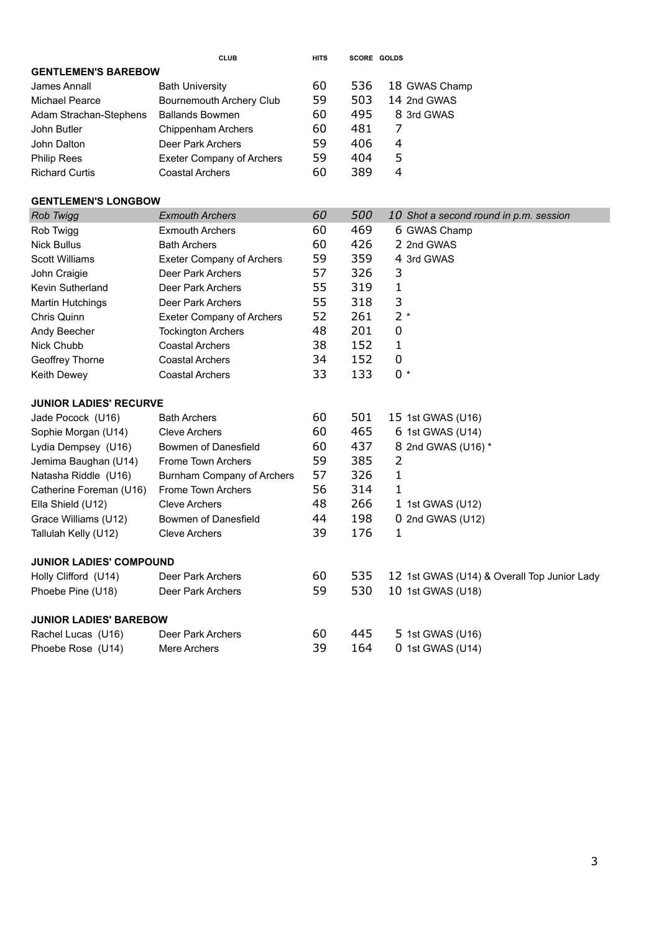|                            | <b>CLUB</b>                      | <b>HITS</b> |     | SCORE GOLDS                            |  |  |
|----------------------------|----------------------------------|-------------|-----|----------------------------------------|--|--|
| <b>GENTLEMEN'S BAREBOW</b> |                                  |             |     |                                        |  |  |
| James Annall               | <b>Bath University</b>           | 60          | 536 | 18 GWAS Champ                          |  |  |
| Michael Pearce             | Bournemouth Archery Club         | 59          | 503 | 14 2nd GWAS                            |  |  |
| Adam Strachan-Stephens     | <b>Ballands Bowmen</b>           | 60          | 495 | 8 3rd GWAS                             |  |  |
| John Butler                | Chippenham Archers               | 60          | 481 | 7                                      |  |  |
| John Dalton                | Deer Park Archers                | 59          | 406 | 4                                      |  |  |
| <b>Philip Rees</b>         | <b>Exeter Company of Archers</b> | 59          | 404 | 5                                      |  |  |
| <b>Richard Curtis</b>      | <b>Coastal Archers</b>           | 60          | 389 | 4                                      |  |  |
|                            |                                  |             |     |                                        |  |  |
| <b>GENTLEMEN'S LONGBOW</b> |                                  |             |     |                                        |  |  |
| Rob Twigg                  | <b>Exmouth Archers</b>           | 60          | 500 | 10 Shot a second round in p.m. session |  |  |
| Rob Twigg                  | <b>Exmouth Archers</b>           | 60          | 469 | 6 GWAS Champ                           |  |  |
| <b>Nick Bullus</b>         | <b>Bath Archers</b>              | 60          | 426 | 2 2nd GWAS                             |  |  |
| <b>Scott Williams</b>      | <b>Exeter Company of Archers</b> | 59          | 359 | 4 3rd GWAS                             |  |  |
| John Craigie               | Deer Park Archers                | 57          | 326 | 3                                      |  |  |
| Kevin Sutherland           | Deer Park Archers                | 55          | 319 | 1                                      |  |  |
| <b>Martin Hutchings</b>    | Deer Park Archers                | 55          | 318 | 3                                      |  |  |
| Chris Quinn                | <b>Exeter Company of Archers</b> | 52          | 261 | $2*$                                   |  |  |
| Andy Beecher               | <b>Tockington Archers</b>        | 48          | 201 | 0                                      |  |  |
| Nick Chubb                 | <b>Coastal Archers</b>           | 38          | 152 | 1                                      |  |  |
| Geoffrey Thorne            | <b>Coastal Archers</b>           | 34          | 152 | 0                                      |  |  |
| Keith Dewey                | <b>Coastal Archers</b>           | 33          | 133 | $0 *$                                  |  |  |

| <b>JUNIOR LADIES' RECURVE</b>  |                            |    |     |                                             |  |  |  |
|--------------------------------|----------------------------|----|-----|---------------------------------------------|--|--|--|
| Jade Pocock (U16)              | <b>Bath Archers</b>        | 60 | 501 | 15 1st GWAS (U16)                           |  |  |  |
| Sophie Morgan (U14)            | Cleve Archers              | 60 | 465 | 6 1st GWAS (U14)                            |  |  |  |
| Lydia Dempsey (U16)            | Bowmen of Danesfield       | 60 | 437 | 8 2nd GWAS (U16) *                          |  |  |  |
| Jemima Baughan (U14)           | Frome Town Archers         | 59 | 385 | 2                                           |  |  |  |
| Natasha Riddle (U16)           | Burnham Company of Archers | 57 | 326 | 1                                           |  |  |  |
| Catherine Foreman (U16)        | Frome Town Archers         | 56 | 314 | 1                                           |  |  |  |
| Ella Shield (U12)              | <b>Cleve Archers</b>       | 48 | 266 | 1 1st GWAS (U12)                            |  |  |  |
| Grace Williams (U12)           | Bowmen of Danesfield       | 44 | 198 | $0$ 2nd GWAS (U12)                          |  |  |  |
| Tallulah Kelly (U12)           | <b>Cleve Archers</b>       | 39 | 176 | 1                                           |  |  |  |
| <b>JUNIOR LADIES' COMPOUND</b> |                            |    |     |                                             |  |  |  |
| Holly Clifford (U14)           | Deer Park Archers          | 60 | 535 | 12 1st GWAS (U14) & Overall Top Junior Lady |  |  |  |
| Phoebe Pine (U18)              | Deer Park Archers          | 59 | 530 | 10 1st GWAS (U18)                           |  |  |  |
| <b>JUNIOR LADIES' BAREBOW</b>  |                            |    |     |                                             |  |  |  |
| Rachel Lucas (U16)             | Deer Park Archers          | 60 | 445 | 5 1st GWAS (U16)                            |  |  |  |
| Phoebe Rose (U14)              | Mere Archers               | 39 | 164 | $0$ 1st GWAS (U14)                          |  |  |  |